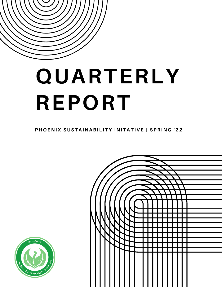

# **QUARTERLY REPORT**

PHOENIX SUSTAINABILITY INITATIVE | SPRING '22



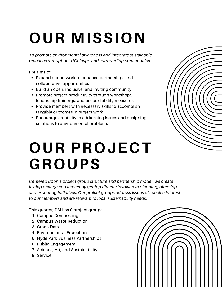## **OUR MISSION**

*To promote environmental awareness and integrate sustainable practices throughout UChicago and surrounding communities .*

PSI aims to:

- Expand our network to enhance partnerships and collaborative opportunities
- Build an open, inclusive, and inviting community
- Promote project productivity through workshops, leadership trainings, and accountability measures
- Provide members with necessary skills to accomplish tangible outcomes in project work
- Encourage creativity in addressing issues and designing solutions to environmental problems

## **OUR PROJECT GROUPS**

*Centered upon a project group structure and partnership model, we create lasting change and impact by getting directly involved in planning, directing, and executing initiatives. Our project [groups](https://www.psiuchicago.com/current-project-groups) address issues of specific interest to our members and are relevant to local sustainability needs.*

This quarter, PSI has 8 project groups:

- 1. Campus Composting
- 2. Campus Waste Reduction
- 3. Green Data
- 4. Environmental Education
- 5. Hyde Park Business Partnerships
- 6. Public Engagement
- 7. Science, Art, and Sustainability
- 8. Service

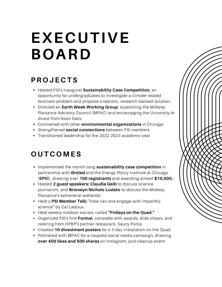## **EXECUTIVE BOARD**

### **P R O J E C T S**

- Hosted PSI's inaugural **Sustainability Case Competition**, an opportunity for undergraduates to investigate a climate-related business problem and propose a realistic, research-backed solution.
- Directed an **Earth Week Working Group** supporting the Midway Plaisance Advisory Council (MPAC) and encouraging the University to divest from fossil fuels.
- Connected with other **environmental organizations** in Chicago.
- Strengthened **social connections** between PSI members.
- Transitioned leadership for the 2022-2023 academic year.

### **O U T C O M E S**

- Implemented the month-long **sustainability case competition** in partnership with **Ørsted** and the Energy Policy Institute at Chicago (**EPIC**), drawing over **100 registrants** and awarding almost **\$10,000.**
- Hosted **2 guest speakers: Claudia Geib** to discuss science journalism, and **Bronwyn Nichols-Lodato** to discuss the Midway Plaisance's ephemeral wetlands.
- Held a **PSI Member Talk:** "How can one engage with impactful science" by Cal Ledoux.
- Held weekly outdoor socials, called **"Fridays on the Quad."**
- Organized PSI's first **Formal**, complete with awards, slide shows, and catering from HPBP's partner restaurant, Saucy Porka.
- Created **10 divestment posters** for a 3-day installation on the Quad.
- Partnered with MPAC for a coupled social media campaign, drawing **over 400 likes and 500 shares** on Instagram, and cleanup event.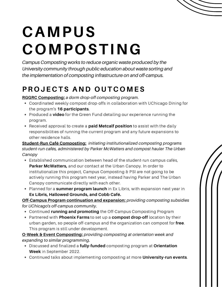

## **CAMPUS COMPOSTING**

*Campus Composting works to reduce organic waste produced by the University community through public education about waste sorting and the implementation of composting infrastructure on and off-campus.*

## **P R O J E C T S A N D O U T C O M E S**

**RGGRC Composting:** *a dorm drop-off composting program.*

- Coordinated weekly compost drop-offs in collaboration with UChicago Dining for the program's **16 participants**.
- Produced a **video** for the Green Fund detailing our experience running the program.
- Received approval to create a **paid Metcalf position** to assist with the daily responsibilities of running the current program and any future expansions to other residence halls.

**Student-Run Café Composting:** *initiating institutionalized composting programs student-run cafés, administered by Parker McWatters and compost hauler The Urban Canopy*

- Established communication between head of the student-run campus cafés, **Parker McWatters,** and our contact at the Urban Canopy. In order to institutionalize this project, Campus Composting & PSI are not going to be actively running this program next year, instead having Parker and The Urban Canopy communicate directly with each other.
- Planned for a **summer program launch** in Ex Libris, with expansion next year in **Ex Libris, Hallowed Grounds, and Cobb Café.**

**Off-Campus Program continuation and expansion:** *providing composting subsidies for UChicago's off-campus community.*

- Continued **running and promoting** the Off-Campus Composting Program
- Partnered with **Phoenix Farms** to set up a **compost drop-off** location by their urban garden, so people off-campus and the organization can compost for **free**. This program is still under development.

**O-Week & Event Composting:** *providing composting at orientation week and expanding to similar programming.*

- Discussed and finalized a **fully-funded** composting program at **Orientation Week** in September 2022.
- Continued talks about implementing composting at more **University-run events**.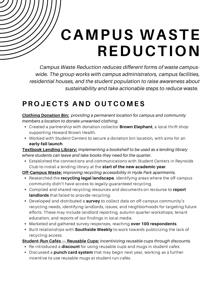## **CAMPUS WASTE REDUCTION**

*Campus Waste Reduction reduces different forms of waste campuswide. The group works with campus administrators, campus facilities, residential houses, and the student population to raise awareness about sustainability and take actionable steps to reduce waste.*

### **P R O J E C T S A N D O U T C O M E S**

**Clothing Donation Bin:** *providing a permanent location for campus and community members a location to donate unwanted clothing.*

- Created a partnership with donation collector **Brown Elephant**, a local thrift shop supporting Howard Brown Health.
- Worked with Student Centers to secure a donation bin location, with aims for an **early-fall launch**.

**Textbook Lending Library:** *implementing a bookshelf to be used as a lending library where students can leave and take books they need for the quarter.*

Established the connections and communications with Student Centers in Reynolds Club to install a lending library at the **start of the new academic year**.

**Off-Campus Waste:** *improving recycling accessibility in Hyde Park apartments.*

- Researched the **recycling legal landscape**, identifying areas where the off-campus community didn't have access to legally-guaranteed recycling.
- Compiled and shared recycling resources and documents on recourse to **report landlords** that failed to provide recycling.
- Developed and distributed a **survey** to collect data on off-campus community's recycling needs, identifying landlords, issues, and neighborhoods for targeting future efforts. These may include landlord reporting, autumn quarter workshops, tenant education, and reports of our findings in local media.
- Marketed and gathered survey responses, reaching **over 100 respondents**.
- **Built relationships with <b>Southside Weekly** to work towards publicizing the lack of recycling access.

#### **Student-Run Cafés — Reusable Cups:** *incentivizing reusable cups through discounts.*

- Re-introduced a **discount** for using reusable cups and mugs in student cafes.
- Discussed a **punch card system** that may begin next year, working as a further incentive to use reusable mugs at student-run cafés.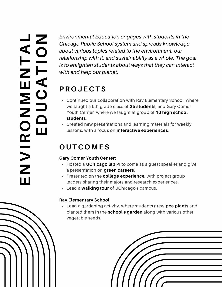#### **EN** $\blacktriangleright$ **RONMENTALEDUCATI ON**

 *relationship with it, and sustainability as a whole. The goal Chicago Public School system and spreads knowledge Environmental Education engages with students in the about various topics related to the environment, our is to enlighten students about ways that they can interact with and help our planet.*

## **P R O J E C T S**

- Continued our collaboration with Ray Elementary School, where we taught a 6th grade class of **25 students**, and Gary Comer Youth Center, where we taught at group of **10 high school students**.
- Created new presentations and learning materials for weekly lessons, with a focus on **interactive experiences**.

### **O U T C O M E S**

#### **Gary Comer Youth Center:**

- Hosted a **UChicago lab PI** to come as a guest speaker and give a presentation on **green careers**.
- Presented on the **college experience**, with project group leaders sharing their majors and research experiences.
- Lead a **walking tour** of UChicago's campus.

#### **Ray Elementary School**

Lead a gardening activity, where students grew **pea plants** and planted them in the **school's garden** along with various other vegetable seeds.

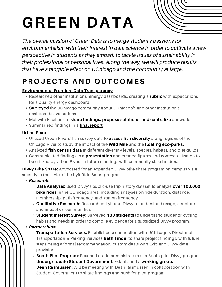## **GREEN DATA**

*The overall mission of Green Data is to merge student's passions for environmentalism with their interest in data science in order to cultivate a new perspective in students as they embark to tackle issues of sustainability in their professional or personal lives. Along the way, we will produce results that have a tangible effect on UChicago and the community at large.*

### **P R O J E C T S A N D O U T C O M E S**

#### **Environmental Frontiers Data Transparency**

- Researched other institutions' energy dashboards, creating a **rubric** with expectations for a quality energy dashboard.
- **Surveyed** the UChicago community about UChicago's and other institution's dashboards evaluations.
- Met with Facilities to **share findings, propose solutions, and centralize** our work.
- Summarized findings in a **final [report](https://docs.google.com/document/d/1LUft50ARoiPyJlqO7m2NH-88lPn-rXVcC4iiMyfFY_g/edit)**.

#### **Urban Rivers**

- Utilized Urban Rivers' fish survey data to **assess fish diversity** along regions of the Chicago River to study the impact of the **Wild Mile** and the **floating eco-parks.**
- Analyzed **fish census data** at different diversity levels, species, habitat, and diet guilds
- Communicated findings in a **[presentation](https://docs.google.com/presentation/d/1mv_ZiLooCaXYsdfse2HHp2jJtHYbQohZlO7e0pFADck/edit?usp=sharing2jJtHYbQohZlO7e0pFADck/edit?usp=sharing)** and created figures and contextualization to be utilized by Urban Rivers in future meetings with community stakeholders.

**Divvy Bike Share:** Advocated for an expanded Divvy bike share program on campus via a subsidy in the style of the Lyft Ride Smart program.

- Research*:*
	- **Data Analysis:** Used Divvy's public-use trip history dataset to analyze **over 100,000 bike rides** in the UChicago area, including analyses on ride duration, distance, membership, path frequency, and station frequency.
	- **Qualitative Research:** Researched Lyft and Divvy to understand usage, structure, and impact on communities.
	- **Student Interest Survey:** Surveyed **100 students** to understand students' cycling habits and needs in order to compile evidence for a subsidized Divvy program.
- Partnerships:
	- **Transportation Services:** Established a connection with UChicago's Director of Transportation & Parking Services **Beth Tindel** to share project findings, with future steps being a formal recommendation, custom deals with Lyft, and Divvy data provision.
	- **Booth Pilot Program:** Reached out to administrators of a Booth pilot Divvy program.
	- **Undergraduate Student Government:** Established a **working group.**
	- **Dean Rasmussen:** Will be meeting with Dean Rasmussen in collaboration with Student Government to share findings and push for pilot program.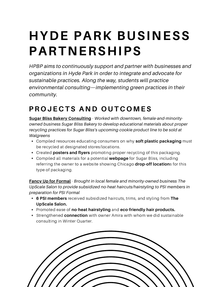## **HYDE PARK BUSINESS PARTNERSHIPS**

*HPBP aims to continuously support and partner with businesses and organizations in Hyde Park in order to integrate and advocate for sustainable practices. Along the way, students will practice environmental consulting—implementing green practices in their community.*

### **P R O J E C T S A N D O U T C O M E S**

**Sugar Bliss Bakery Consulting** - *Worked with downtown, female-and-minorityowned business Sugar Bliss Bakery to develop educational materials about proper recycling practices for Sugar Bliss's upcoming cookie product line to be sold at Walgreens*

- Compiled resources educating consumers on why **soft plastic packaging** must be recycled at designated stores/locations.
- Created **posters and flyers** promoting proper recycling of this packaging.
- Compiled all materials for a potential **webpage** for Sugar Bliss, including referring the owner to a website showing Chicago **drop-off location**s for this type of packaging.

**Fancy Up for Formal** - *Brought in local female and minority-owned business The UpScale Salon to provide subsidized no-heat haircuts/hairstyling to PSI members in preparation for PSI Formal*

- **6 PSI members** received subsidized haircuts, trims, and styling from **The UpScale Salon.**
- Promoted ease of **no-heat hairstyling** and **eco-friendly hair products.**
- Strengthened **connection** with owner Amira with whom we did sustainable consulting in Winter Quarter.

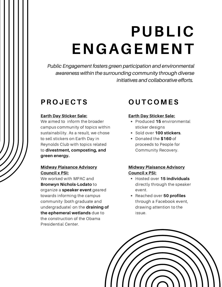## **PUBLIC ENGAGEMENT**

*Public Engagement fosters green participation and environmental awareness within the surrounding community through diverse initiatives and collaborative efforts.*

### **P R O J E C T S**

#### **Earth Day Sticker Sale:**

We aimed to inform the broader campus community of topics within sustainability. As a result, we chose to sell stickers on Earth Day in Reynolds Club with topics related to **divestment, composting, and green energy.**

#### **Midway Plaisance Advisory Council x PSI:**

We worked with MPAC and **Bronwyn Nichols-Lodato** to organize a **speaker event** geared towards informing the campus community (both graduate and undergraduate) on the **draining of the ephemeral wetlands** due to the construction of the Obama Presidential Center.

### **O U T C O M E S**

#### **Earth Day Sticker Sale:**

- Produced **15** environmental sticker designs
- Sold over **100 stickers**.
- Donated the **\$160** of proceeds to People for Community Recovery.

#### **Midway Plaisance Advisory Council x PSI:**

- Hosted over **15 individuals** directly through the speaker event.
- Reached over **50 profiles** through a Facebook event, drawing attention to the issue.

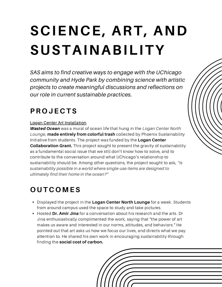## **SCIENCE, ART, AND SUSTAINABILITY**

*SAS aims to find creative ways to engage with the UChicago community and Hyde Park by combining science with artistic projects to create meaningful discussions and reflections on our role in current sustainable practices.*

### **P R O J E C T S**

#### Logan Center Art Installation

Wasted Ocean was a mural of ocean life that hung in the *Logan Center North Lounge*, **made entirely from colorful trash** collected by Phoenix Sustainability Initiative from students. The project was funded by the **Logan Center Collaboration Grant.** This project sought to present the gravity of sustainability as a fundamental social issue that we still don't know how to solve, and to contribute to the conversation around what UChicago's relationship to sustainability should be. Among other questions, the project sought to ask, *"Is sustainability possible in a world where single-use items are designed to ultimately find their home in the ocean?"*

## **O U T C O M E S**

- Displayed the project in the **Logan Center North Lounge** for a week. Students from around campus used the space to study and take pictures.
- Hosted **Dr. Amir Jina** for a conversation about his research and the arts. Dr Jina enthusiastically complimented the work, saying that "the power of art makes us aware and interested in our norms, attitudes, and behaviors." He pointed out that art asks us how we focus our lives, and directs what we pay attention to. He shared his own work in encouraging sustainability through finding the **social cost of carbon.**